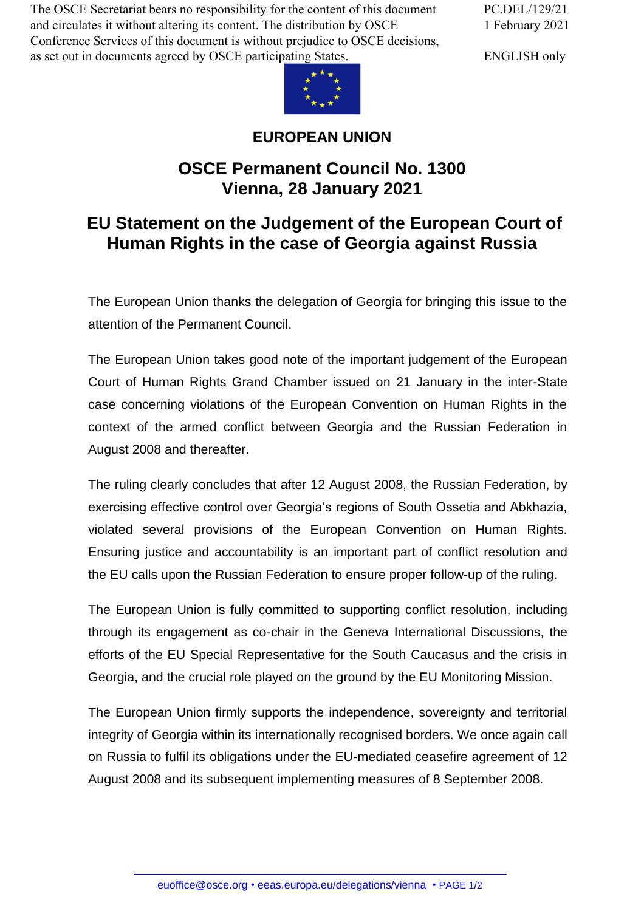The OSCE Secretariat bears no responsibility for the content of this document and circulates it without altering its content. The distribution by OSCE Conference Services of this document is without prejudice to OSCE decisions, as set out in documents agreed by OSCE participating States.

PC.DEL/129/21 1 February 2021

ENGLISH only



## **EUROPEAN UNION**

## **OSCE Permanent Council No. 1300 Vienna, 28 January 2021**

## **EU Statement on the Judgement of the European Court of Human Rights in the case of Georgia against Russia**

The European Union thanks the delegation of Georgia for bringing this issue to the attention of the Permanent Council.

The European Union takes good note of the important judgement of the European Court of Human Rights Grand Chamber issued on 21 January in the inter-State case concerning violations of the European Convention on Human Rights in the context of the armed conflict between Georgia and the Russian Federation in August 2008 and thereafter.

The ruling clearly concludes that after 12 August 2008, the Russian Federation, by exercising effective control over Georgia's regions of South Ossetia and Abkhazia, violated several provisions of the European Convention on Human Rights. Ensuring justice and accountability is an important part of conflict resolution and the EU calls upon the Russian Federation to ensure proper follow-up of the ruling.

The European Union is fully committed to supporting conflict resolution, including through its engagement as co-chair in the Geneva International Discussions, the efforts of the EU Special Representative for the South Caucasus and the crisis in Georgia, and the crucial role played on the ground by the EU Monitoring Mission.

The European Union firmly supports the independence, sovereignty and territorial integrity of Georgia within its internationally recognised borders. We once again call on Russia to fulfil its obligations under the EU-mediated ceasefire agreement of 12 August 2008 and its subsequent implementing measures of 8 September 2008.